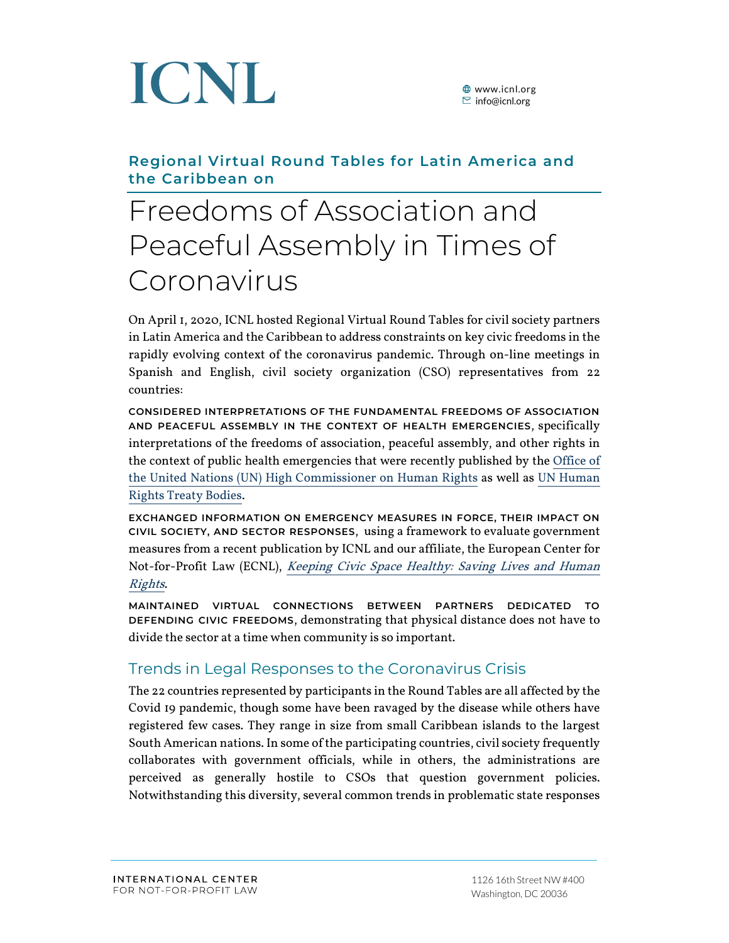

### **Regional Virtual Round Tables for Latin America and the Caribbean on**

### Freedoms of Association and Peaceful Assembly in Times of Coronavirus

On April 1, 2020, ICNL hosted Regional Virtual Round Tables for civil society partners in Latin America and the Caribbean to address constraints on key civic freedoms in the rapidly evolving context of the coronavirus pandemic. Through on-line meetings in Spanish and English, civil society organization (CSO) representatives from 22 countries:

**CONSIDERED INTERPRETATIONS OF THE FUNDAMENTAL FREEDOMS OF ASSOCIATION AND PEACEFUL ASSEMBLY IN THE CONTEXT OF HEALTH EMERGENCIES**, specifically interpretations of the freedoms of association, peaceful assembly, and other rights in the context of public health emergencies that were recently published by th[e Office of](https://www.ohchr.org/EN/NewsEvents/Pages/DisplayNews.aspx?NewsID=25722&LangID=E)  [the United Nations \(UN\) High Commissioner on Human Rights](https://www.ohchr.org/EN/NewsEvents/Pages/DisplayNews.aspx?NewsID=25722&LangID=E) as well as [UN Human](https://www.ohchr.org/EN/NewsEvents/Pages/DisplayNews.aspx?NewsID=25742&LangID=E)  [Rights Treaty Bodies.](https://www.ohchr.org/EN/NewsEvents/Pages/DisplayNews.aspx?NewsID=25742&LangID=E)

**EXCHANGED INFORMATION ON EMERGENCY MEASURES IN FORCE, THEIR IMPACT ON CIVIL SOCIETY, AND SECTOR RESPONSES**, using a framework to evaluate government measures from a recent publication by ICNL and our affiliate, the European Center for Not-for-Profit Law (ECNL), [Keeping Civic Space Healthy: Saving Lives and Human](http://ecnl.org/wp-content/uploads/2020/03/saving-life-and-human-rights-ECNL-ICNL.pdf)  [Rights](http://ecnl.org/wp-content/uploads/2020/03/saving-life-and-human-rights-ECNL-ICNL.pdf).

**MAINTAINED VIRTUAL CONNECTIONS BETWEEN PARTNERS DEDICATED TO DEFENDING CIVIC FREEDOMS**, demonstrating that physical distance does not have to divide the sector at a time when community is so important.

### Trends in Legal Responses to the Coronavirus Crisis

The 22 countries represented by participants in the Round Tables are all affected by the Covid 19 pandemic, though some have been ravaged by the disease while others have registered few cases. They range in size from small Caribbean islands to the largest South American nations. In some of the participating countries, civil society frequently collaborates with government officials, while in others, the administrations are perceived as generally hostile to CSOs that question government policies. Notwithstanding this diversity, several common trends in problematic state responses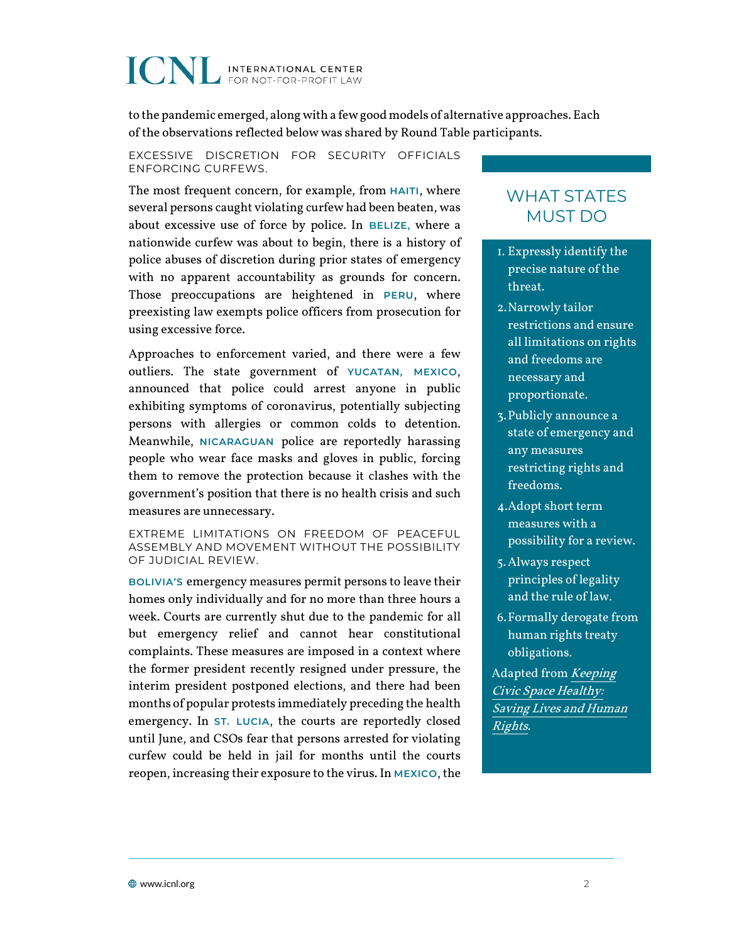to the pandemic emerged, along with a few good models of alternative approaches. Each of the observations reflected below was shared by Round Table participants.

EXCESSIVE DISCRETION FOR SECURITY OFFICIALS ENFORCING CURFEWS.

The most frequent concern, for example, from **HAITI**, where several persons caught violating curfew had been beaten, was about excessive use of force by police. In **BELIZE,** where a nationwide curfew was about to begin, there is a history of police abuses of discretion during prior states of emergency with no apparent accountability as grounds for concern. Those preoccupations are heightened in **PERU**, where preexisting law exempts police officers from prosecution for using excessive force.

Approaches to enforcement varied, and there were a few outliers. The state government of **YUCATAN, MEXICO**, announced that police could arrest anyone in public exhibiting symptoms of coronavirus, potentially subjecting persons with allergies or common colds to detention. Meanwhile, **NICARAGUAN** police are reportedly harassing people who wear face masks and gloves in public, forcing them to remove the protection because it clashes with the government's position that there is no health crisis and such measures are unnecessary.

EXTREME LIMITATIONS ON FREEDOM OF PEACEFUL ASSEMBLY AND MOVEMENT WITHOUT THE POSSIBILITY OF JUDICIAL REVIEW.

**BOLIVIA'S** emergency measures permit persons to leave their homes only individually and for no more than three hours a week. Courts are currently shut due to the pandemic for all but emergency relief and cannot hear constitutional complaints. These measures are imposed in a context where the former president recently resigned under pressure, the interim president postponed elections, and there had been months of popular protests immediately preceding the health emergency. In **ST. LUCIA**, the courts are reportedly closed until June, and CSOs fear that persons arrested for violating curfew could be held in jail for months until the courts reopen, increasing their exposure to the virus. In **MEXICO**, the

### WHAT STATES MUST DO

- 1. Expressly identify the precise nature of the threat.
- 2.Narrowly tailor restrictions and ensure all limitations on rights and freedoms are necessary and proportionate.
- 3.Publicly announce a state of emergency and any measures restricting rights and freedoms.
- 4.Adopt short term measures with a possibility for a review.
- 5.Always respect principles of legality and the rule of law.
- 6.Formally derogate from human rights treaty obligations.

Adapted from [Keeping](http://ecnl.org/wp-content/uploads/2020/03/saving-life-and-human-rights-ECNL-ICNL.pdf)  [Civic Space Healthy:](http://ecnl.org/wp-content/uploads/2020/03/saving-life-and-human-rights-ECNL-ICNL.pdf)  [Saving Lives and Human](http://ecnl.org/wp-content/uploads/2020/03/saving-life-and-human-rights-ECNL-ICNL.pdf)  [Rights](http://ecnl.org/wp-content/uploads/2020/03/saving-life-and-human-rights-ECNL-ICNL.pdf).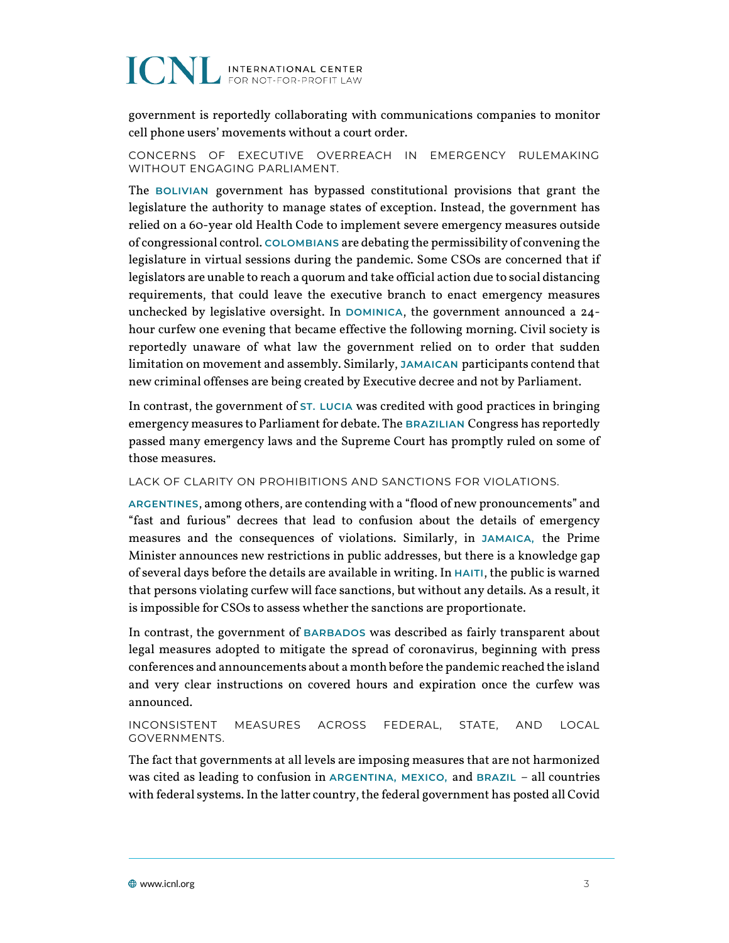government is reportedly collaborating with communications companies to monitor cell phone users' movements without a court order.

CONCERNS OF EXECUTIVE OVERREACH IN EMERGENCY RULEMAKING WITHOUT ENGAGING PARLIAMENT.

The **BOLIVIAN** government has bypassed constitutional provisions that grant the legislature the authority to manage states of exception. Instead, the government has relied on a 60-year old Health Code to implement severe emergency measures outside of congressional control. **COLOMBIANS** are debating the permissibility of convening the legislature in virtual sessions during the pandemic. Some CSOs are concerned that if legislators are unable to reach a quorum and take official action due to social distancing requirements, that could leave the executive branch to enact emergency measures unchecked by legislative oversight. In **DOMINICA**, the government announced a 24 hour curfew one evening that became effective the following morning. Civil society is reportedly unaware of what law the government relied on to order that sudden limitation on movement and assembly. Similarly, **JAMAICAN** participants contend that new criminal offenses are being created by Executive decree and not by Parliament.

In contrast, the government of **ST. LUCIA** was credited with good practices in bringing emergency measures to Parliament for debate. The **BRAZILIAN** Congress has reportedly passed many emergency laws and the Supreme Court has promptly ruled on some of those measures.

LACK OF CLARITY ON PROHIBITIONS AND SANCTIONS FOR VIOLATIONS.

**ARGENTINES**, among others, are contending with a "flood of new pronouncements" and "fast and furious" decrees that lead to confusion about the details of emergency measures and the consequences of violations. Similarly, in **JAMAICA,** the Prime Minister announces new restrictions in public addresses, but there is a knowledge gap of several days before the details are available in writing. In **HAITI**, the public is warned that persons violating curfew will face sanctions, but without any details. As a result, it is impossible for CSOs to assess whether the sanctions are proportionate.

In contrast, the government of **BARBADOS** was described as fairly transparent about legal measures adopted to mitigate the spread of coronavirus, beginning with press conferences and announcements about a month before the pandemic reached the island and very clear instructions on covered hours and expiration once the curfew was announced.

#### INCONSISTENT MEASURES ACROSS FEDERAL, STATE, AND LOCAL GOVERNMENTS.

The fact that governments at all levels are imposing measures that are not harmonized was cited as leading to confusion in **ARGENTINA, MEXICO,** and **BRAZIL** – all countries with federal systems. In the latter country, the federal government has posted all Covid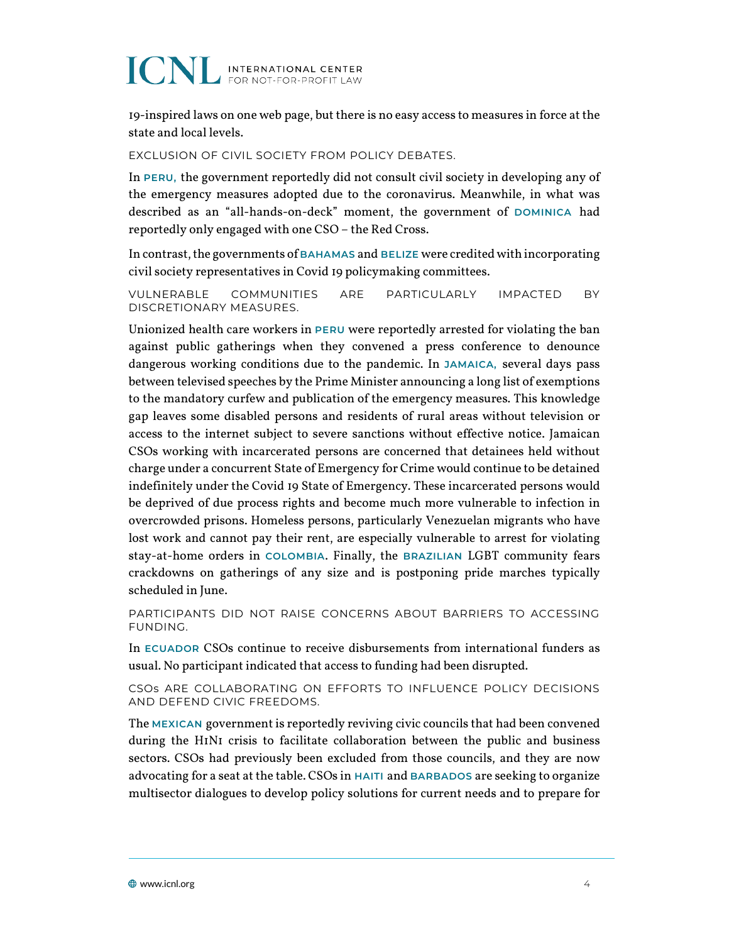19-inspired laws on one web page, but there is no easy access to measures in force at the state and local levels.

EXCLUSION OF CIVIL SOCIETY FROM POLICY DEBATES.

In **PERU,** the government reportedly did not consult civil society in developing any of the emergency measures adopted due to the coronavirus. Meanwhile, in what was described as an "all-hands-on-deck" moment, the government of **DOMINICA** had reportedly only engaged with one CSO – the Red Cross.

In contrast, the governments of **BAHAMAS** and **BELIZE** were credited with incorporating civil society representatives in Covid 19 policymaking committees.

VULNERABLE COMMUNITIES ARE PARTICULARLY IMPACTED BY DISCRETIONARY MEASURES.

Unionized health care workers in **PERU** were reportedly arrested for violating the ban against public gatherings when they convened a press conference to denounce dangerous working conditions due to the pandemic. In **JAMAICA,** several days pass between televised speeches by the Prime Minister announcing a long list of exemptions to the mandatory curfew and publication of the emergency measures. This knowledge gap leaves some disabled persons and residents of rural areas without television or access to the internet subject to severe sanctions without effective notice. Jamaican CSOs working with incarcerated persons are concerned that detainees held without charge under a concurrent State of Emergency for Crime would continue to be detained indefinitely under the Covid 19 State of Emergency. These incarcerated persons would be deprived of due process rights and become much more vulnerable to infection in overcrowded prisons. Homeless persons, particularly Venezuelan migrants who have lost work and cannot pay their rent, are especially vulnerable to arrest for violating stay-at-home orders in **COLOMBIA**. Finally, the **BRAZILIAN** LGBT community fears crackdowns on gatherings of any size and is postponing pride marches typically scheduled in June.

PARTICIPANTS DID NOT RAISE CONCERNS ABOUT BARRIERS TO ACCESSING FUNDING.

In **ECUADOR** CSOs continue to receive disbursements from international funders as usual. No participant indicated that access to funding had been disrupted.

CSOs ARE COLLABORATING ON EFFORTS TO INFLUENCE POLICY DECISIONS AND DEFEND CIVIC FREEDOMS.

The **MEXICAN** government is reportedly reviving civic councils that had been convened during the H1N1 crisis to facilitate collaboration between the public and business sectors. CSOs had previously been excluded from those councils, and they are now advocating for a seat at the table. CSOs in **HAITI** and **BARBADOS** are seeking to organize multisector dialogues to develop policy solutions for current needs and to prepare for